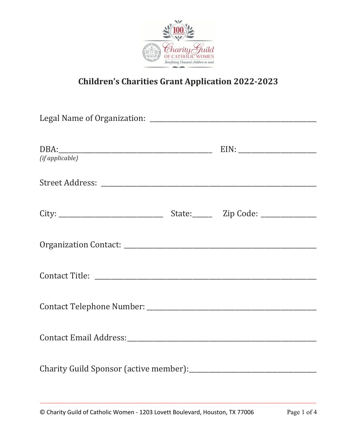

## **Children's Charities Grant Application 2022-2023**

| DBA: EIN: EIN:<br>(if applicable) |  |
|-----------------------------------|--|
|                                   |  |
|                                   |  |
|                                   |  |
|                                   |  |
|                                   |  |
|                                   |  |
|                                   |  |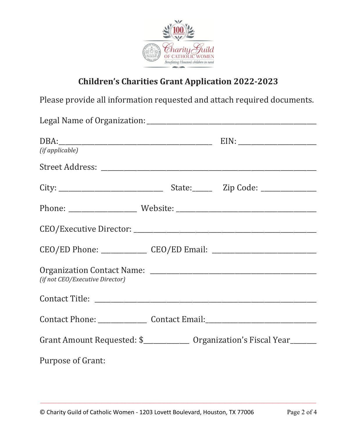

## **Children's Charities Grant Application 2022-2023**

Please provide all information requested and attach required documents.

| (if applicable)                                                                  |  |
|----------------------------------------------------------------------------------|--|
|                                                                                  |  |
|                                                                                  |  |
|                                                                                  |  |
|                                                                                  |  |
| CEO/ED Phone: ________________ CEO/ED Email: ___________________________________ |  |
| (if not CEO/Executive Director)                                                  |  |
|                                                                                  |  |
| Contact Phone: ___________________ Contact Email: ______________________________ |  |
| Grant Amount Requested: \$_______________ Organization's Fiscal Year_______      |  |
| <b>Purpose of Grant:</b>                                                         |  |

\_\_\_\_\_\_\_\_\_\_\_\_\_\_\_\_\_\_\_\_\_\_\_\_\_\_\_\_\_\_\_\_\_\_\_\_\_\_\_\_\_\_\_\_\_\_\_\_\_\_\_\_\_\_\_\_\_\_\_\_\_\_\_\_\_\_\_\_\_\_\_\_\_\_\_\_\_\_\_\_\_\_\_\_\_\_\_\_\_\_\_\_\_\_\_\_\_\_\_\_\_\_\_\_\_\_\_\_\_\_\_\_\_\_\_\_\_\_\_\_\_\_\_\_\_\_\_\_\_\_\_\_\_\_\_\_\_\_\_\_\_\_\_\_\_\_\_\_\_\_\_\_\_\_\_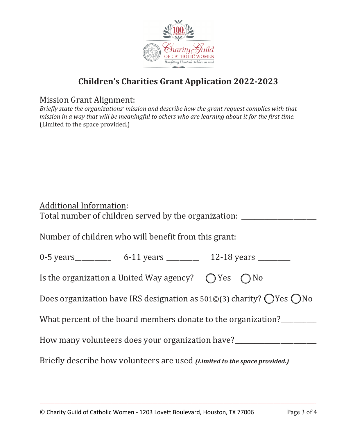

## **Children's Charities Grant Application 2022-2023**

Mission Grant Alignment:

*Briefly state the organizations' mission and describe how the grant request complies with that mission in a way that will be meaningful to others who are learning about it for the first time.* (Limited to the space provided.)

| <b>Additional Information:</b><br>Total number of children served by the organization:              |  |  |  |
|-----------------------------------------------------------------------------------------------------|--|--|--|
| Number of children who will benefit from this grant:                                                |  |  |  |
|                                                                                                     |  |  |  |
| Is the organization a United Way agency? $\bigcap$ Yes $\bigcap$ No                                 |  |  |  |
| Does organization have IRS designation as $501\textdegree(3)$ charity? $\bigcirc$ Yes $\bigcirc$ No |  |  |  |
| What percent of the board members donate to the organization?                                       |  |  |  |
| How many volunteers does your organization have?________________________________                    |  |  |  |
| Briefly describe how volunteers are used (Limited to the space provided.)                           |  |  |  |

\_\_\_\_\_\_\_\_\_\_\_\_\_\_\_\_\_\_\_\_\_\_\_\_\_\_\_\_\_\_\_\_\_\_\_\_\_\_\_\_\_\_\_\_\_\_\_\_\_\_\_\_\_\_\_\_\_\_\_\_\_\_\_\_\_\_\_\_\_\_\_\_\_\_\_\_\_\_\_\_\_\_\_\_\_\_\_\_\_\_\_\_\_\_\_\_\_\_\_\_\_\_\_\_\_\_\_\_\_\_\_\_\_\_\_\_\_\_\_\_\_\_\_\_\_\_\_\_\_\_\_\_\_\_\_\_\_\_\_\_\_\_\_\_\_\_\_\_\_\_\_\_\_\_\_